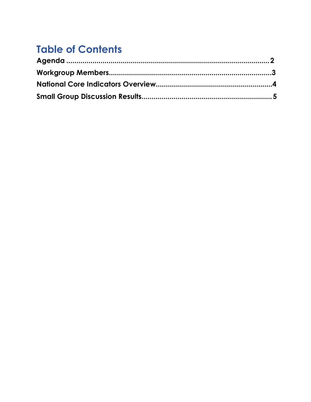# **Table of Contents**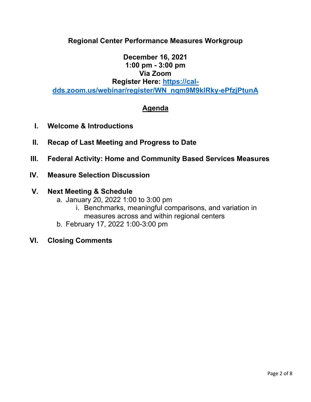#### <span id="page-1-0"></span>**Regional Center Performance Measures Workgroup**

#### **December 16, 2021 1:00 pm - 3:00 pm Via Zoom**

#### **Register Here: [https://cal-](https://cal-dds.zoom.us/webinar/register/WN_nqm9M9klRky-ePfzjPtunA)**

**[dds.zoom.us/webinar/register/WN\\_nqm9M9klRky-ePfzjPtunA](https://cal-dds.zoom.us/webinar/register/WN_nqm9M9klRky-ePfzjPtunA)**

#### **Agenda**

- **I. Welcome & Introductions**
- **II. Recap of Last Meeting and Progress to Date**
- **III. Federal Activity: Home and Community Based Services Measures**

#### **IV. Measure Selection Discussion**

#### **V. Next Meeting & Schedule**

- a. January 20, 2022 1:00 to 3:00 pm
	- i. Benchmarks, meaningful comparisons, and variation in measures across and within regional centers
- b. February 17, 2022 1:00-3:00 pm

#### **VI. Closing Comments**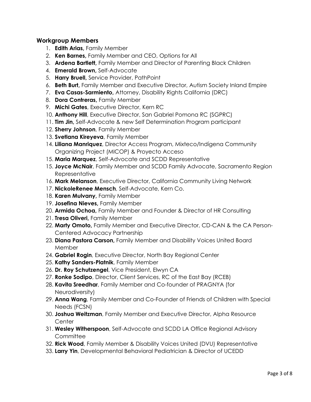#### <span id="page-2-0"></span>**Workgroup Members**

- 1. **Edith Arias,** Family Member
- 2. **Ken Barnes,** Family Member and CEO, Options for All
- 3. **Ardena Bartlett,** Family Member and Director of Parenting Black Children
- 4. **Emerald Brown,** Self-Advocate
- 5. **Harry Bruell,** Service Provider, PathPoint
- 6. **Beth Burt,** Family Member and Executive Director, Autism Society Inland Empire
- 7. **Eva Casas-Sarmiento,** Attorney, Disability Rights California (DRC)
- 8. **Dora Contreras,** Family Member
- 9. **Michi Gates**, Executive Director, Kern RC
- 10. **Anthony Hill**, Executive Director, San Gabriel Pomona RC (SGPRC)
- 11. **Tim Jin,** Self-Advocate & new Self Determination Program participant
- 12. **Sherry Johnson**, Family Member
- 13. **Svetlana Kireyeva**, Family Member
- 14. **Liliana Manriquez**, Director Access Program, Mixteco/Indígena Community Organizing Project (MICOP) & Proyecto Acceso
- 15. **Maria Marquez**, Self-Advocate and SCDD Representative
- 15. **Joyce McNair**, Family Member and SCDD Family Advocate, Sacramento Region Representative
- 16. **Mark Melanson**, Executive Director, California Community Living Network
- 17. **NickoleRenee Mensch**, Self-Advocate, Kern Co.
- 18. **Karen Mulvany,** Family Member
- 19. **Josefina Nieves,** Family Member
- 20. **Armida Ochoa,** Family Member and Founder & Director of HR Consulting
- 21. **Tresa Oliveri,** Family Member
- 22. **Marty Omoto,** Family Member and Executive Director, CD-CAN & the CA Person-Centered Advocacy Partnership
- 23. **Diana Pastora Carson,** Family Member and Disability Voices United Board Member
- 24. **Gabriel Rogin**, Executive Director, North Bay Regional Center
- 25. **Kathy Sanders-Platnik**, Family Member
- 26. **Dr. Roy Schutzengel**, Vice President, Elwyn CA
- 27. **Ronke Sodipo**, Director, Client Services, RC of the East Bay (RCEB)
- 28. **Kavita Sreedhar**, Family Member and Co-founder of PRAGNYA (for Neurodiversity)
- 29. **Anna Wang**, Family Member and Co-Founder of Friends of Children with Special Needs (FCSN)
- 30. **Joshua Weitzman**, Family Member and Executive Director, Alpha Resource **Center**
- 31. **Wesley Witherspoon**, Self-Advocate and SCDD LA Office Regional Advisory **Committee**
- 32. **Rick Wood**, Family Member & Disability Voices United (DVU) Representative
- 33. **Larry Yin**, Developmental Behavioral Pediatrician & Director of UCEDD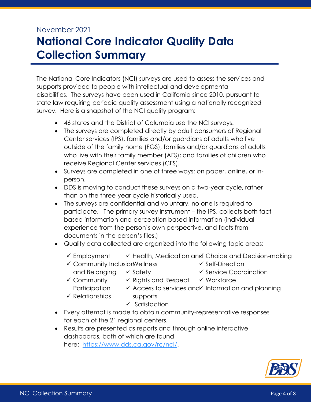# <span id="page-3-0"></span>November 2021 **National Core Indicator Quality Data Collection Summary**

The National Core Indicators (NCI) surveys are used to assess the services and supports provided to people with intellectual and developmental disabilities. The surveys have been used in California since 2010, pursuant to state law requiring periodic quality assessment using a nationally recognized survey. Here is a snapshot of the NCI quality program:

- 46 states and the District of Columbia use the NCI surveys.
- The surveys are completed directly by adult consumers of Regional Center services (IPS), families and/or guardians of adults who live outside of the family home (FGS), families and/or guardians of adults who live with their family member (AFS); and families of children who receive Regional Center services (CFS).
- Surveys are completed in one of three ways: on paper, online, or inperson.
- DDS is moving to conduct these surveys on a two-year cycle, rather than on the three-year cycle historically used.
- The surveys are confidential and voluntary, no one is required to participate. The primary survey instrument – the IPS, collects both factbased information and perception based information (individual experience from the person's own perspective, and facts from documents in the person's files.)
- Quality data collected are organized into the following topic areas:
	- ✓ Employment ✓ Health, Medication and ✓ Choice and Decision-making
	- ✔ Community Inclusior Wellness
- ✓ Self-Direction ✓ Service Coordination
- and Belonging ✓ Community ✓ Safety
	- ✓ Rights and Respect ✓ Workforce
		-

✓ Access to services and Information and planning

- Participation ✓ Relationships
- supports ✓ Satisfaction
- Every attempt is made to obtain community-representative responses for each of the 21 regional centers.
- Results are presented as reports and through online interactive dashboards, both of which are found here: [https://www.dds.ca.gov/rc/nci/.](https://www.dds.ca.gov/rc/nci/)

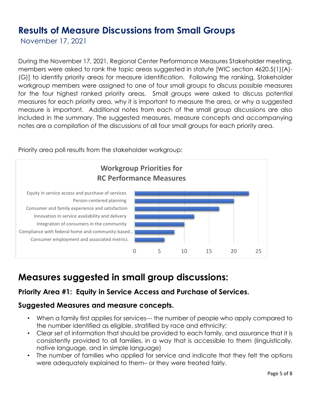# <span id="page-4-0"></span>**Results of Measure Discussions from Small Groups**

November 17, 2021

During the November 17, 2021, Regional Center Performance Measures Stakeholder meeting, members were asked to rank the topic areas suggested in statute [WIC section 4620.5(1)(A)- (G)] to identify priority areas for measure identification. Following the ranking, Stakeholder workgroup members were assigned to one of four small groups to discuss possible measures for the four highest ranked priority areas. Small groups were asked to discuss potential measures for each priority area, why it is important to measure the area, or why a suggested measure is important. Additional notes from each of the small group discussions are also included in the summary. The suggested measures, measure concepts and accompanying notes are a compilation of the discussions of all four small groups for each priority area.



Priority area poll results from the stakeholder workgroup:

# **Measures suggested in small group discussions:**

## **Priority Area #1: Equity in Service Access and Purchase of Services.**

#### **Suggested Measures and measure concepts.**

- When a family first applies for services--- the number of people who apply compared to the number identified as eligible, stratified by race and ethnicity;
- Clear set of information that should be provided to each family, and assurance that it is consistently provided to all families, in a way that is accessible to them (linguistically, native language, and in simple language)
- The number of families who applied for service and indicate that they felt the options were adequately explained to them– or they were treated fairly.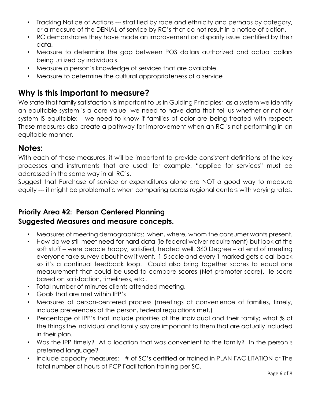- Tracking Notice of Actions --- stratified by race and ethnicity and perhaps by category, or a measure of the DENIAL of service by RC's that do not result in a notice of action.
- RC demonstrates they have made an improvement on disparity issue identified by their data.
- Measure to determine the gap between POS dollars authorized and actual dollars being utilized by individuals.
- Measure a person's knowledge of services that are available.
- Measure to determine the cultural appropriateness of a service

## **Why is this important to measure?**

We state that family satisfaction is important to us in Guiding Principles; as a system we identify an equitable system is a core value- we need to have data that tell us whether or not our system IS equitable; we need to know if families of color are being treated with respect; These measures also create a pathway for improvement when an RC is not performing in an equitable manner.

### **Notes:**

With each of these measures, it will be important to provide consistent definitions of the key processes and instruments that are used; for example, "applied for services" must be addressed in the same way in all RC's.

Suggest that Purchase of service or expenditures alone are NOT a good way to measure equity --- it might be problematic when comparing across regional centers with varying rates.

#### **Priority Area #2: Person Centered Planning Suggested Measures and measure concepts.**

- Measures of meeting demographics: when, where, whom the consumer wants present.
- How do we still meet need for hard data (ie federal waiver requirement) but look at the soft stuff – were people happy, satisfied, treated well. 360 Degree – at end of meeting everyone take survey about how it went. 1-5 scale and every 1 marked gets a call back so it's a continual feedback loop. Could also bring together scores to equal one measurement that could be used to compare scores (Net promoter score). Ie score based on satisfaction, timeliness, etc..
- Total number of minutes clients attended meeting.
- Goals that are met within IPP's
- Measures of person-centered process (meetings at convenience of families, timely, include preferences of the person, federal regulations met.)
- Percentage of IPP's that include priorities of the individual and their family; what % of the things the individual and family say are important to them that are actually included in their plan.
- Was the IPP timely? At a location that was convenient to the family? In the person's preferred language?
- Include capacity measures: # of SC's certified or trained in PLAN FACILITATION or The total number of hours of PCP Facilitation training per SC.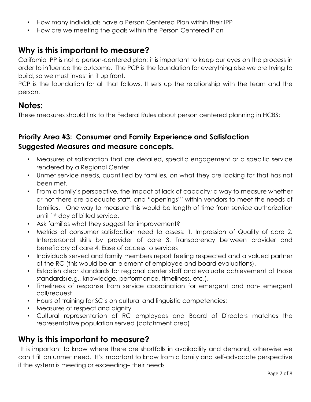- How many individuals have a Person Centered Plan within their IPP
- How are we meeting the goals within the Person Centered Plan

## **Why is this important to measure?**

California IPP is not a person-centered plan; it is important to keep our eyes on the process in order to influence the outcome. The PCP is the foundation for everything else we are trying to build, so we must invest in it up front.

PCP is the foundation for all that follows. It sets up the relationship with the team and the person.

## **Notes:**

These measures should link to the Federal Rules about person centered planning in HCBS;

### **Priority Area #3: Consumer and Family Experience and Satisfaction Suggested Measures and measure concepts.**

- Measures of satisfaction that are detailed, specific engagement or a specific service rendered by a Regional Center.
- Unmet service needs, quantified by families, on what they are looking for that has not been met.
- From a family's perspective, the impact of lack of capacity; a way to measure whether or not there are adequate staff, and "openings'" within vendors to meet the needs of families. One way to measure this would be length of time from service authorization until 1st day of billed service.
- Ask families what they suggest for improvement?
- Metrics of consumer satisfaction need to assess: 1. Impression of Quality of care 2. Interpersonal skills by provider of care 3. Transparency between provider and beneficiary of care 4. Ease of access to services
- Individuals served and family members report feeling respected and a valued partner of the RC (this would be an element of employee and board evaluations).
- Establish clear standards for regional center staff and evaluate achievement of those standards(e.g., knowledge, performance, timeliness, etc.).
- Timeliness of response from service coordination for emergent and non- emergent call/request
- Hours of training for SC's on cultural and linguistic competencies;
- Measures of respect and dignity
- Cultural representation of RC employees and Board of Directors matches the representative population served (catchment area)

## **Why is this important to measure?**

It is important to know where there are shortfalls in availability and demand, otherwise we can't fill an unmet need. It's important to know from a family and self-advocate perspective if the system is meeting or exceeding– their needs